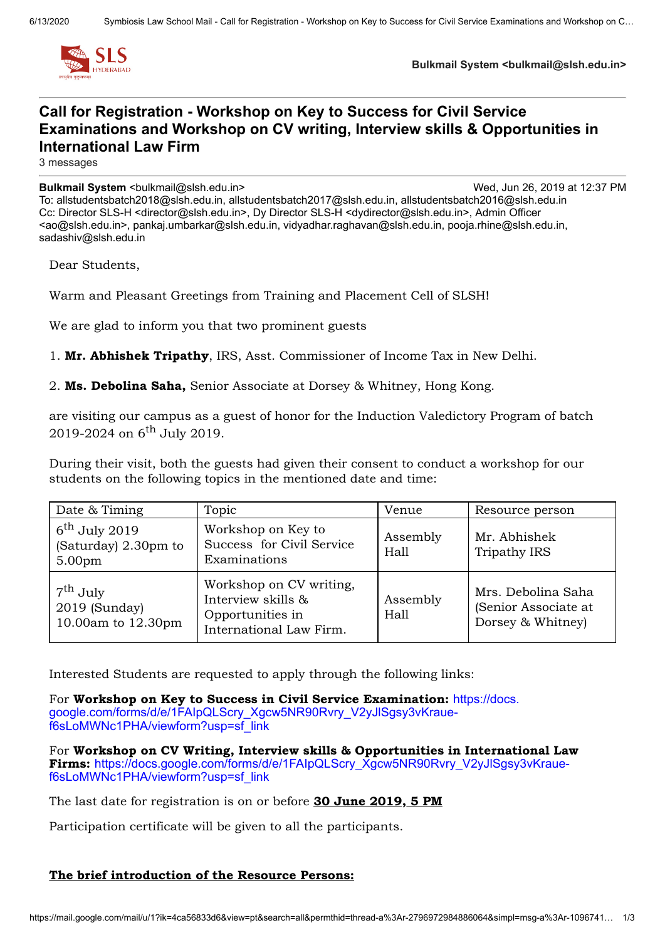

**Bulkmail System <bulkmail@slsh.edu.in>**

## **Call for Registration - Workshop on Key to Success for Civil Service Examinations and Workshop on CV writing, Interview skills & Opportunities in International Law Firm**

3 messages

**Bulkmail System** <bulkmail@slsh.edu.in> Wed, Jun 26, 2019 at 12:37 PM To: allstudentsbatch2018@slsh.edu.in, allstudentsbatch2017@slsh.edu.in, allstudentsbatch2016@slsh.edu.in Cc: Director SLS-H <director@slsh.edu.in>, Dy Director SLS-H <dydirector@slsh.edu.in>, Admin Officer <ao@slsh.edu.in>, pankaj.umbarkar@slsh.edu.in, vidyadhar.raghavan@slsh.edu.in, pooja.rhine@slsh.edu.in,

Dear Students,

sadashiv@slsh.edu.in

Warm and Pleasant Greetings from Training and Placement Cell of SLSH!

We are glad to inform you that two prominent guests

1. **Mr. Abhishek Tripathy**, IRS, Asst. Commissioner of Income Tax in New Delhi.

### 2. **Ms. Debolina Saha,** Senior Associate at Dorsey & Whitney, Hong Kong.

are visiting our campus as a guest of honor for the Induction Valedictory Program of batch 2019-2024 on 6<sup>th</sup> July 2019.

During their visit, both the guests had given their consent to conduct a workshop for our students on the following topics in the mentioned date and time:

| Date & Timing                                                           | Topic                                                                                        | Venue            | Resource person                                                 |
|-------------------------------------------------------------------------|----------------------------------------------------------------------------------------------|------------------|-----------------------------------------------------------------|
| $6^{\text{th}}$ July 2019<br>(Saturday) 2.30pm to<br>5.00 <sub>pm</sub> | Workshop on Key to<br>Success for Civil Service<br>Examinations                              | Assembly<br>Hall | Mr. Abhishek<br>Tripathy IRS                                    |
| $7^{\text{th}}$ July<br>2019 (Sunday)<br>10.00am to 12.30pm             | Workshop on CV writing,<br>Interview skills &<br>Opportunities in<br>International Law Firm. | Assembly<br>Hall | Mrs. Debolina Saha<br>(Senior Associate at<br>Dorsey & Whitney) |

Interested Students are requested to apply through the following links:

For **Workshop on Key to Success in Civil Service Examination:** https://docs. [google.com/forms/d/e/1FAIpQLScry\\_Xgcw5NR90Rvry\\_V2yJlSgsy3vKraue](https://docs.google.com/forms/d/e/1FAIpQLScry_Xgcw5NR90Rvry_V2yJlSgsy3vKraue-f6sLoMWNc1PHA/viewform?usp=sf_link)f6sLoMWNc1PHA/viewform?usp=sf\_link

For **Workshop on CV Writing, Interview skills & Opportunities in International Law Firms:** [https://docs.google.com/forms/d/e/1FAIpQLScry\\_Xgcw5NR90Rvry\\_V2yJlSgsy3vKraue](https://docs.google.com/forms/d/e/1FAIpQLScry_Xgcw5NR90Rvry_V2yJlSgsy3vKraue-f6sLoMWNc1PHA/viewform?usp=sf_link)f6sLoMWNc1PHA/viewform?usp=sf\_link

The last date for registration is on or before **30 June 2019, 5 PM**

Participation certificate will be given to all the participants.

### **The brief introduction of the Resource Persons:**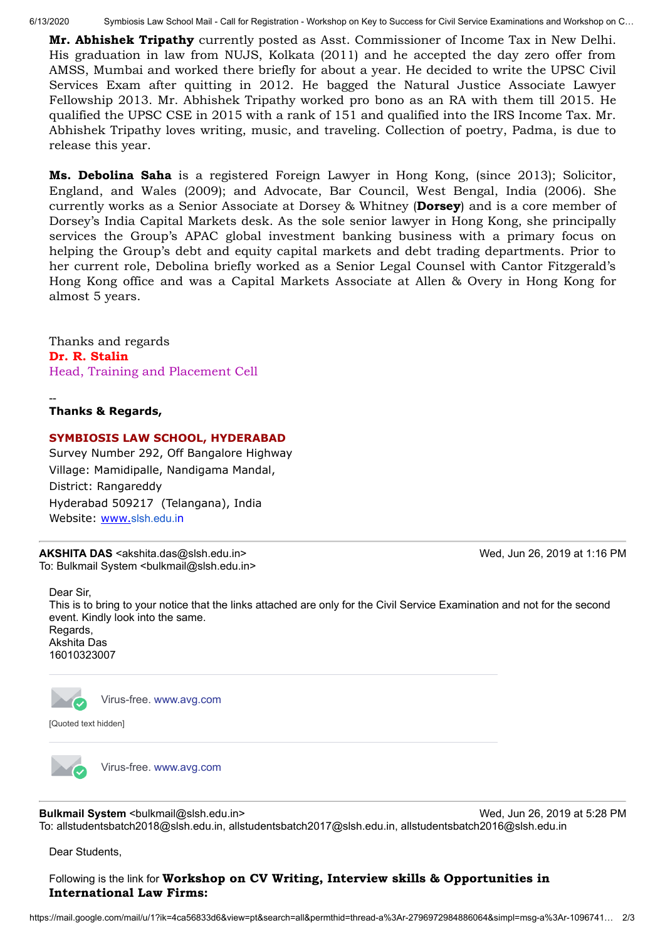6/13/2020 Symbiosis Law School Mail - Call for Registration - Workshop on Key to Success for Civil Service Examinations and Workshop on C…

**Mr. Abhishek Tripathy** currently posted as Asst. Commissioner of Income Tax in New Delhi. His graduation in law from NUJS, Kolkata (2011) and he accepted the day zero offer from AMSS, Mumbai and worked there briefly for about a year. He decided to write the UPSC Civil Services Exam after quitting in 2012. He bagged the Natural Justice Associate Lawyer Fellowship 2013. Mr. Abhishek Tripathy worked pro bono as an RA with them till 2015. He qualified the UPSC CSE in 2015 with a rank of 151 and qualified into the IRS Income Tax. Mr. Abhishek Tripathy loves writing, music, and traveling. Collection of poetry, Padma, is due to release this year.

**Ms. Debolina Saha** is a registered Foreign Lawyer in Hong Kong, (since 2013); Solicitor, England, and Wales (2009); and Advocate, Bar Council, West Bengal, India (2006). She currently works as a Senior Associate at Dorsey & Whitney (**Dorsey**) and is a core member of Dorsey's India Capital Markets desk. As the sole senior lawyer in Hong Kong, she principally services the Group's APAC global investment banking business with a primary focus on helping the Group's debt and equity capital markets and debt trading departments. Prior to her current role, Debolina briefly worked as a Senior Legal Counsel with Cantor Fitzgerald's Hong Kong office and was a Capital Markets Associate at Allen & Overy in Hong Kong for almost 5 years.

Thanks and regards **Dr. R. Stalin** Head, Training and Placement Cell

-- **Thanks & Regards,**

### **SYMBIOSIS LAW SCHOOL, HYDERABAD**

Survey Number 292, Off Bangalore Highway Village: Mamidipalle, Nandigama Mandal, District: Rangareddy Hyderabad 509217 (Telangana), India Website: www.[slsh.edu.i](http://slshyderabad.siu.edu.in/)n

**AKSHITA DAS** <akshita.das@slsh.edu.in> Wed, Jun 26, 2019 at 1:16 PM To: Bulkmail System <br/>bulkmail@slsh.edu.in>

Dear Sir, This is to bring to your notice that the links attached are only for the Civil Service Examination and not for the second event. Kindly look into the same. Regards, Akshita Das 16010323007

Virus-free. [www.avg.com](http://www.avg.com/email-signature?utm_medium=email&utm_source=link&utm_campaign=sig-email&utm_content=webmail)

[Quoted text hidden]

Virus-free. [www.avg.com](http://www.avg.com/email-signature?utm_medium=email&utm_source=link&utm_campaign=sig-email&utm_content=webmail)

**Bulkmail System** <br />  $\sim$  2019 at 5:28 PM To: allstudentsbatch2018@slsh.edu.in, allstudentsbatch2017@slsh.edu.in, allstudentsbatch2016@slsh.edu.in

Dear Students,

### Following is the link for **Workshop on CV Writing, Interview skills & Opportunities in International Law Firms:**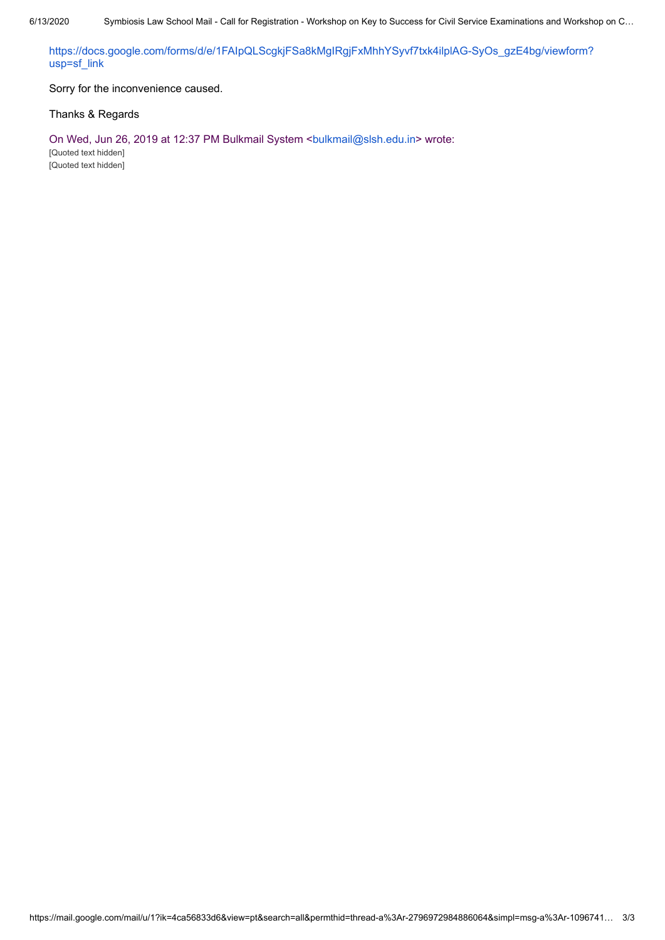[https://docs.google.com/forms/d/e/1FAIpQLScgkjFSa8kMgIRgjFxMhhYSyvf7txk4ilplAG-SyOs\\_gzE4bg/viewform?](https://docs.google.com/forms/d/e/1FAIpQLScgkjFSa8kMgIRgjFxMhhYSyvf7txk4ilplAG-SyOs_gzE4bg/viewform?usp=sf_link) usp=sf\_link

Sorry for the inconvenience caused.

### Thanks & Regards

On Wed, Jun 26, 2019 at 12:37 PM Bulkmail System <br/> <br/> <br/>sh.edu.in> wrote: [Quoted text hidden] [Quoted text hidden]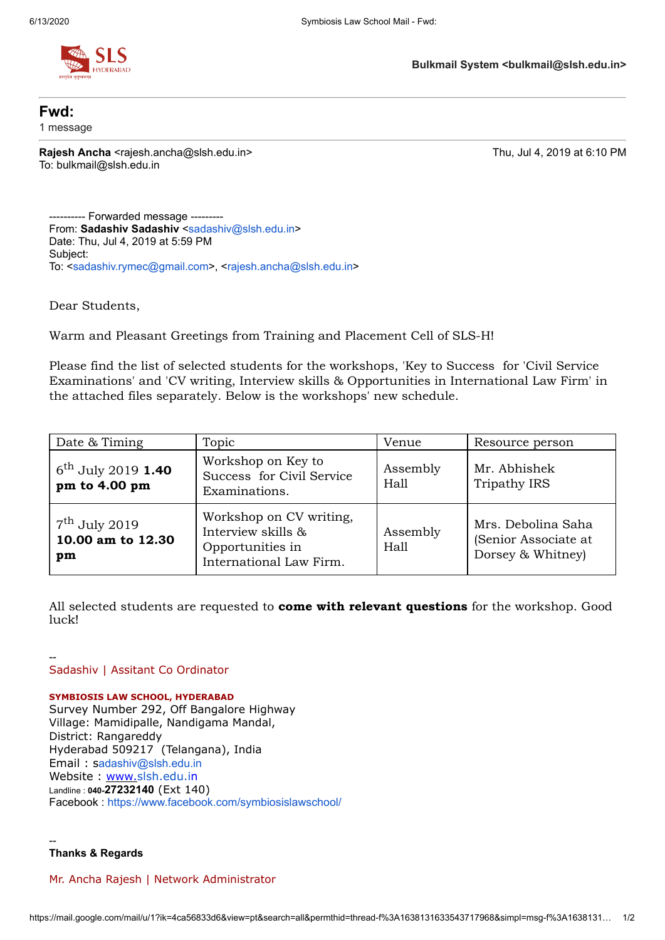

**Fwd:** 1 message

**Rajesh Ancha** <rajesh.ancha@slsh.edu.in> Thu, Jul 4, 2019 at 6:10 PM To: bulkmail@slsh.edu.in

---------- Forwarded message --------- From: **Sadashiv Sadashiv** <[sadashiv@slsh.edu.in>](mailto:sadashiv@slsh.edu.in) Date: Thu, Jul 4, 2019 at 5:59 PM Subject: To: <[sadashiv.rymec@gmail.com>](mailto:sadashiv.rymec@gmail.com), <[rajesh.ancha@slsh.edu.in>](mailto:rajesh.ancha@slsh.edu.in)

Dear Students,

Warm and Pleasant Greetings from Training and Placement Cell of SLS-H!

Please find the list of selected students for the workshops, 'Key to Success for 'Civil Service Examinations' and 'CV writing, Interview skills & Opportunities in International Law Firm' in the attached files separately. Below is the workshops' new schedule.

| Date & Timing                                        | Topic                                                                                        | Venue            | Resource person                                                 |
|------------------------------------------------------|----------------------------------------------------------------------------------------------|------------------|-----------------------------------------------------------------|
| $6^{\text{th}}$ July 2019 1.40<br>pm to 4.00 pm      | Workshop on Key to<br>Success for Civil Service<br>Examinations.                             | Assembly<br>Hall | Mr. Abhishek<br><b>Tripathy IRS</b>                             |
| $7^{\text{th}}$ July 2019<br>10.00 am to 12.30<br>pm | Workshop on CV writing,<br>Interview skills &<br>Opportunities in<br>International Law Firm. | Assembly<br>Hall | Mrs. Debolina Saha<br>(Senior Associate at<br>Dorsey & Whitney) |

All selected students are requested to **come with relevant questions** for the workshop. Good luck!

-- Sadashiv | Assitant Co Ordinator

#### **SYMBIOSIS LAW SCHOOL, HYDERABAD**

Survey Number 292, Off Bangalore Highway Village: Mamidipalle, Nandigama Mandal, District: Rangareddy Hyderabad 509217 (Telangana), India Email : s[adashiv@slsh.edu.in](mailto:adashiv@slsh.edu.in) Website : www.[slsh.edu.in](http://slshyderabad.siu.edu.in/) Landline : **040-27232140** (Ext 140) Facebook : <https://www.facebook.com/symbiosislawschool/>

**Thanks & Regards**

--

Mr. Ancha Rajesh | Network Administrator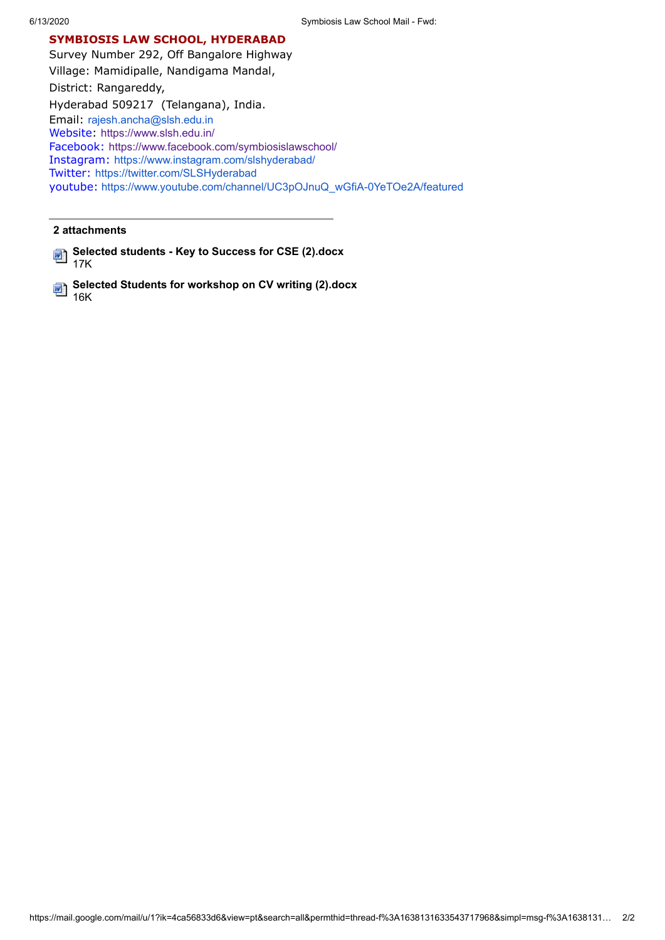### **SYMBIOSIS LAW SCHOOL, HYDERABAD**

Survey Number 292, Off Bangalore Highway Village: Mamidipalle, Nandigama Mandal, District: Rangareddy, Hyderabad 509217 (Telangana), India. Email: [rajesh.ancha@slsh.edu.in](mailto:rajesh.ancha@slsh.edu.in) Website: <https://www.slsh.edu.in/> Facebook: <https://www.facebook.com/symbiosislawschool/> Instagram: <https://www.instagram.com/slshyderabad/> Twitter: <https://twitter.com/SLSHyderabad> youtube: [https://www.youtube.com/channel/UC3pOJnuQ\\_wGfiA-0YeTOe2A/featured](https://www.youtube.com/channel/UC3pOJnuQ_wGfiA-0YeTOe2A/featured)

### **2 attachments**

**Selected students - Key to Success for CSE (2).docx** 17K

**Selected Students for workshop on CV writing (2).docx** 冊 16K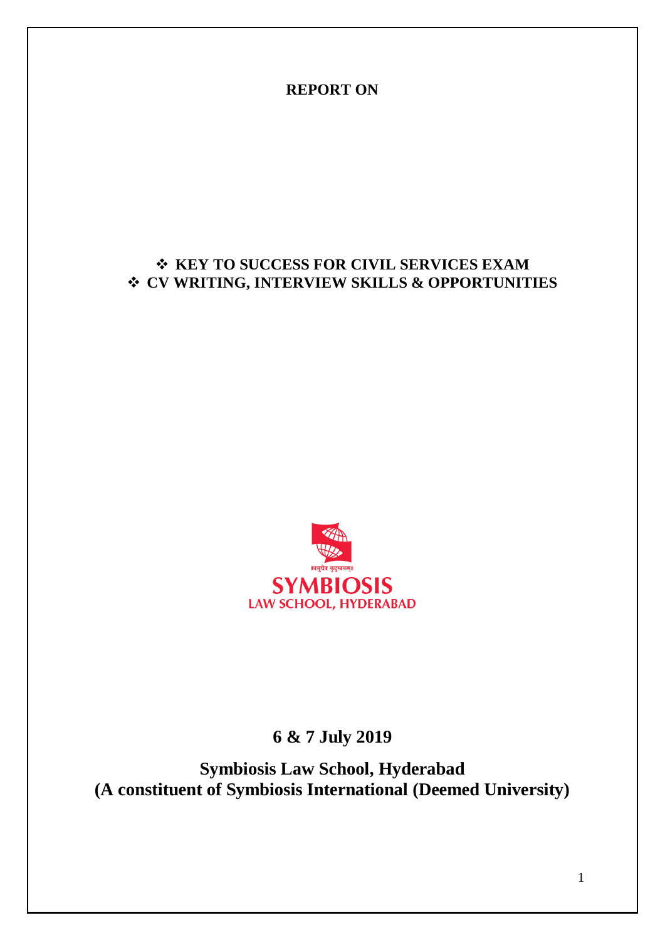**REPORT ON**

## **KEY TO SUCCESS FOR CIVIL SERVICES EXAM CV WRITING, INTERVIEW SKILLS & OPPORTUNITIES**



**6 & 7 July 2019**

**Symbiosis Law School, Hyderabad (A constituent of Symbiosis International (Deemed University)**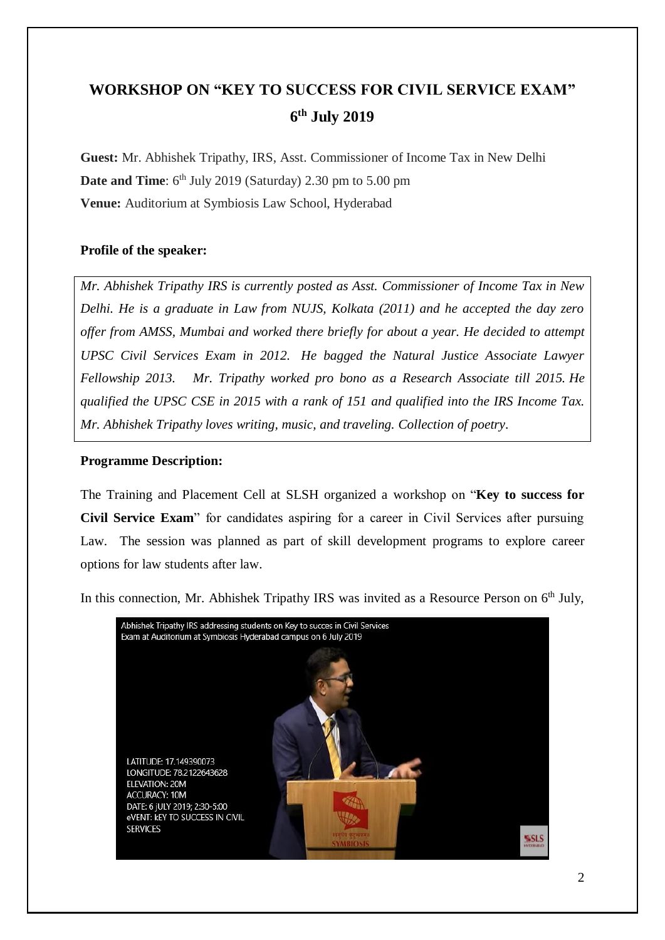# **WORKSHOP ON "KEY TO SUCCESS FOR CIVIL SERVICE EXAM" 6 th July 2019**

**Guest:** Mr. Abhishek Tripathy, IRS, Asst. Commissioner of Income Tax in New Delhi **Date and Time**: 6<sup>th</sup> July 2019 (Saturday) 2.30 pm to 5.00 pm **Venue:** Auditorium at Symbiosis Law School, Hyderabad

### **Profile of the speaker:**

*Mr. Abhishek Tripathy IRS is currently posted as Asst. Commissioner of Income Tax in New Delhi. He is a graduate in Law from NUJS, Kolkata (2011) and he accepted the day zero offer from AMSS, Mumbai and worked there briefly for about a year. He decided to attempt UPSC Civil Services Exam in 2012. He bagged the Natural Justice Associate Lawyer Fellowship 2013. Mr. Tripathy worked pro bono as a Research Associate till 2015. He qualified the UPSC CSE in 2015 with a rank of 151 and qualified into the IRS Income Tax. Mr. Abhishek Tripathy loves writing, music, and traveling. Collection of poetry.* 

### **Programme Description:**

The Training and Placement Cell at SLSH organized a workshop on "**Key to success for Civil Service Exam**" for candidates aspiring for a career in Civil Services after pursuing Law. The session was planned as part of skill development programs to explore career options for law students after law.

In this connection, Mr. Abhishek Tripathy IRS was invited as a Resource Person on  $6<sup>th</sup>$  July,

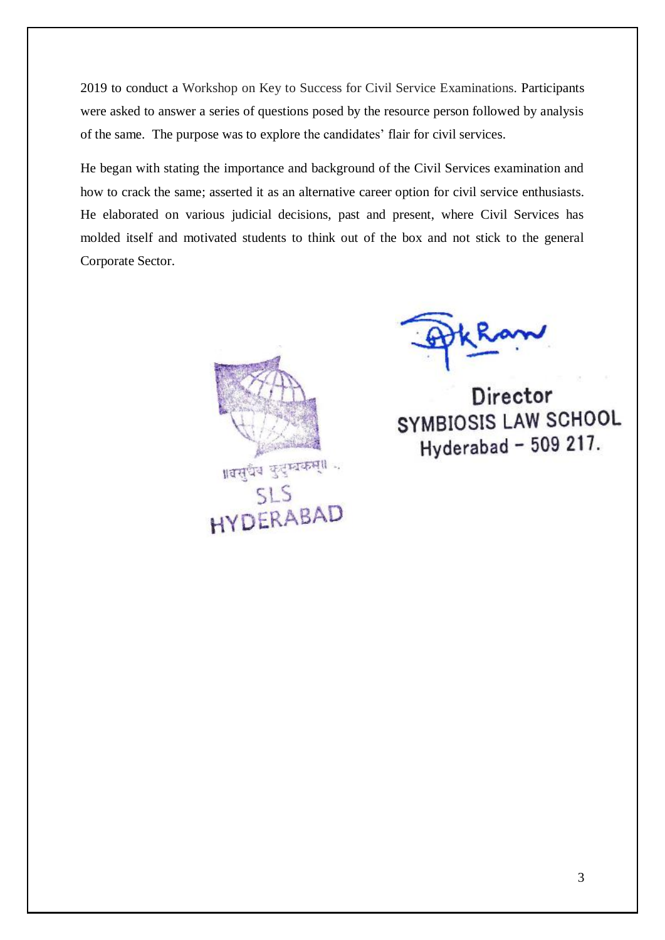2019 to conduct a Workshop on Key to Success for Civil Service Examinations. Participants were asked to answer a series of questions posed by the resource person followed by analysis of the same. The purpose was to explore the candidates' flair for civil services.

He began with stating the importance and background of the Civil Services examination and how to crack the same; asserted it as an alternative career option for civil service enthusiasts. He elaborated on various judicial decisions, past and present, where Civil Services has molded itself and motivated students to think out of the box and not stick to the general Corporate Sector.



Director SYMBIOSIS LAW SCHOOL Hyderabad - 509 217.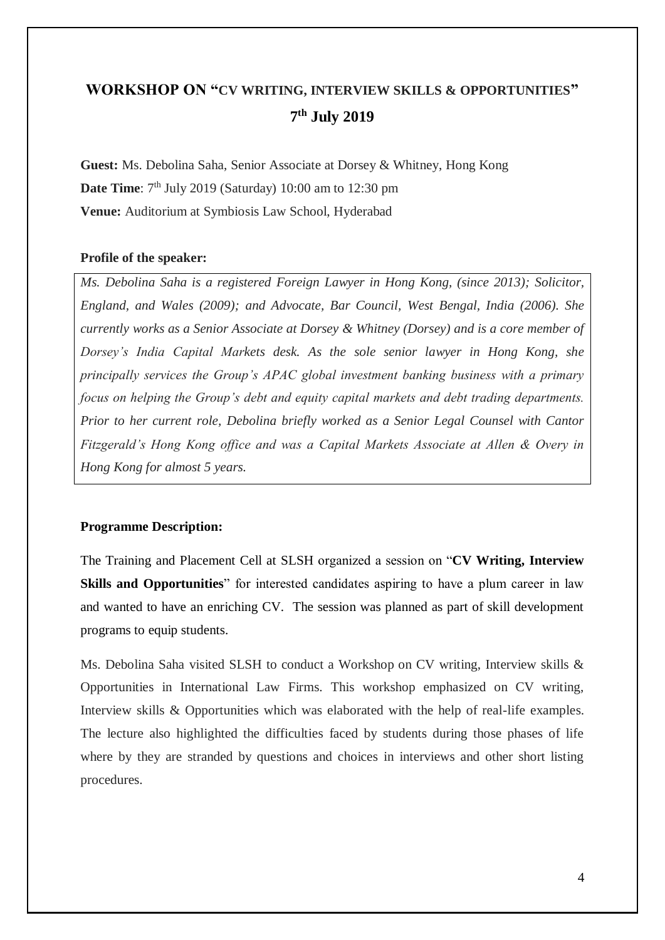# **WORKSHOP ON "CV WRITING, INTERVIEW SKILLS & OPPORTUNITIES" 7 th July 2019**

**Guest:** Ms. Debolina Saha, Senior Associate at Dorsey & Whitney, Hong Kong **Date Time**: 7<sup>th</sup> July 2019 (Saturday) 10:00 am to 12:30 pm **Venue:** Auditorium at Symbiosis Law School, Hyderabad

### **Profile of the speaker:**

*Ms. Debolina Saha is a registered Foreign Lawyer in Hong Kong, (since 2013); Solicitor, England, and Wales (2009); and Advocate, Bar Council, West Bengal, India (2006). She currently works as a Senior Associate at Dorsey & Whitney (Dorsey) and is a core member of Dorsey's India Capital Markets desk. As the sole senior lawyer in Hong Kong, she principally services the Group's APAC global investment banking business with a primary focus on helping the Group's debt and equity capital markets and debt trading departments. Prior to her current role, Debolina briefly worked as a Senior Legal Counsel with Cantor Fitzgerald's Hong Kong office and was a Capital Markets Associate at Allen & Overy in Hong Kong for almost 5 years.*

### **Programme Description:**

The Training and Placement Cell at SLSH organized a session on "**CV Writing, Interview Skills and Opportunities**" for interested candidates aspiring to have a plum career in law and wanted to have an enriching CV. The session was planned as part of skill development programs to equip students.

Ms. Debolina Saha visited SLSH to conduct a Workshop on CV writing, Interview skills & Opportunities in International Law Firms. This workshop emphasized on CV writing, Interview skills & Opportunities which was elaborated with the help of real-life examples. The lecture also highlighted the difficulties faced by students during those phases of life where by they are stranded by questions and choices in interviews and other short listing procedures.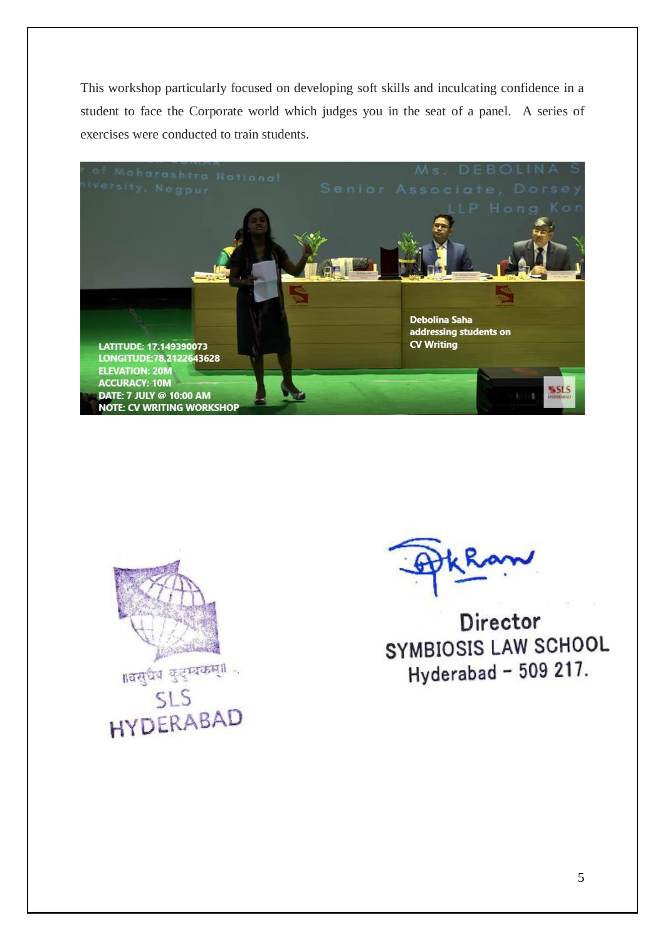This workshop particularly focused on developing soft skills and inculcating confidence in a student to face the Corporate world which judges you in the seat of a panel. A series of exercises were conducted to train students.





Director SYMBIOSIS LAW SCHOOL Hyderabad - 509 217.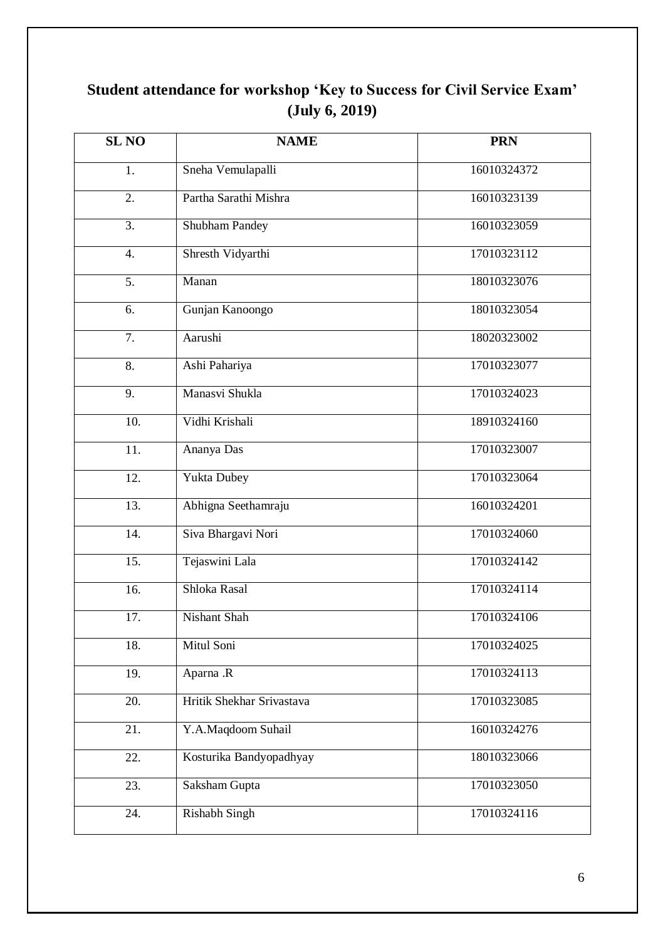# **Student attendance for workshop 'Key to Success for Civil Service Exam' (July 6, 2019)**

| <b>SL NO</b>      | <b>NAME</b>               | <b>PRN</b>  |
|-------------------|---------------------------|-------------|
| 1.                | Sneha Vemulapalli         | 16010324372 |
| 2.                | Partha Sarathi Mishra     | 16010323139 |
| $\overline{3}$ .  | <b>Shubham Pandey</b>     | 16010323059 |
| 4.                | Shresth Vidyarthi         | 17010323112 |
| 5.                | Manan                     | 18010323076 |
| 6.                | Gunjan Kanoongo           | 18010323054 |
| 7.                | Aarushi                   | 18020323002 |
| 8.                | Ashi Pahariya             | 17010323077 |
| 9.                | Manasvi Shukla            | 17010324023 |
| 10.               | Vidhi Krishali            | 18910324160 |
| 11.               | Ananya Das                | 17010323007 |
| 12.               | Yukta Dubey               | 17010323064 |
| $\overline{13}$ . | Abhigna Seethamraju       | 16010324201 |
| 14.               | Siva Bhargavi Nori        | 17010324060 |
| 15.               | Tejaswini Lala            | 17010324142 |
| 16.               | Shloka Rasal              | 17010324114 |
| 17.               | Nishant Shah              | 17010324106 |
| 18.               | Mitul Soni                | 17010324025 |
| 19.               | Aparna .R                 | 17010324113 |
| 20.               | Hritik Shekhar Srivastava | 17010323085 |
| 21.               | Y.A.Maqdoom Suhail        | 16010324276 |
| 22.               | Kosturika Bandyopadhyay   | 18010323066 |
| 23.               | Saksham Gupta             | 17010323050 |
| 24.               | <b>Rishabh Singh</b>      | 17010324116 |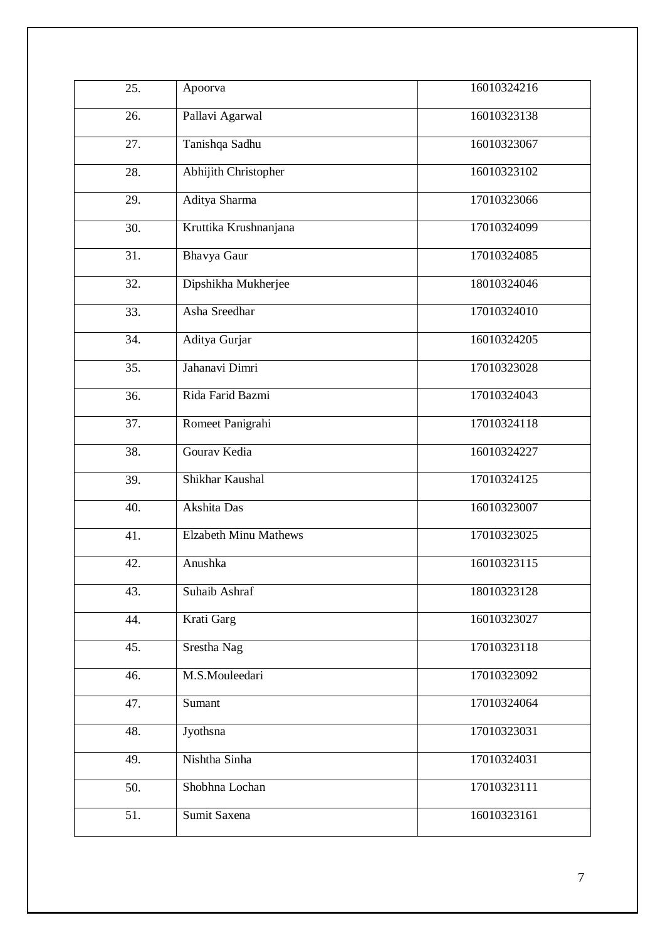| 25. | Apoorva                      | 16010324216 |
|-----|------------------------------|-------------|
| 26. | Pallavi Agarwal              | 16010323138 |
| 27. | Tanishqa Sadhu               | 16010323067 |
| 28. | <b>Abhijith Christopher</b>  | 16010323102 |
| 29. | Aditya Sharma                | 17010323066 |
| 30. | Kruttika Krushnanjana        | 17010324099 |
| 31. | Bhavya Gaur                  | 17010324085 |
| 32. | Dipshikha Mukherjee          | 18010324046 |
| 33. | Asha Sreedhar                | 17010324010 |
| 34. | Aditya Gurjar                | 16010324205 |
| 35. | Jahanavi Dimri               | 17010323028 |
| 36. | Rida Farid Bazmi             | 17010324043 |
| 37. | Romeet Panigrahi             | 17010324118 |
| 38. | Gourav Kedia                 | 16010324227 |
| 39. | Shikhar Kaushal              | 17010324125 |
| 40. | Akshita Das                  | 16010323007 |
| 41. | <b>Elzabeth Minu Mathews</b> | 17010323025 |
| 42. | Anushka                      | 16010323115 |
| 43. | Suhaib Ashraf                | 18010323128 |
| 44. | Krati Garg                   | 16010323027 |
| 45. | Srestha Nag                  | 17010323118 |
| 46. | M.S.Mouleedari               | 17010323092 |
| 47. | Sumant                       | 17010324064 |
| 48. | Jyothsna                     | 17010323031 |
| 49. | Nishtha Sinha                | 17010324031 |
| 50. | Shobhna Lochan               | 17010323111 |
| 51. | Sumit Saxena                 | 16010323161 |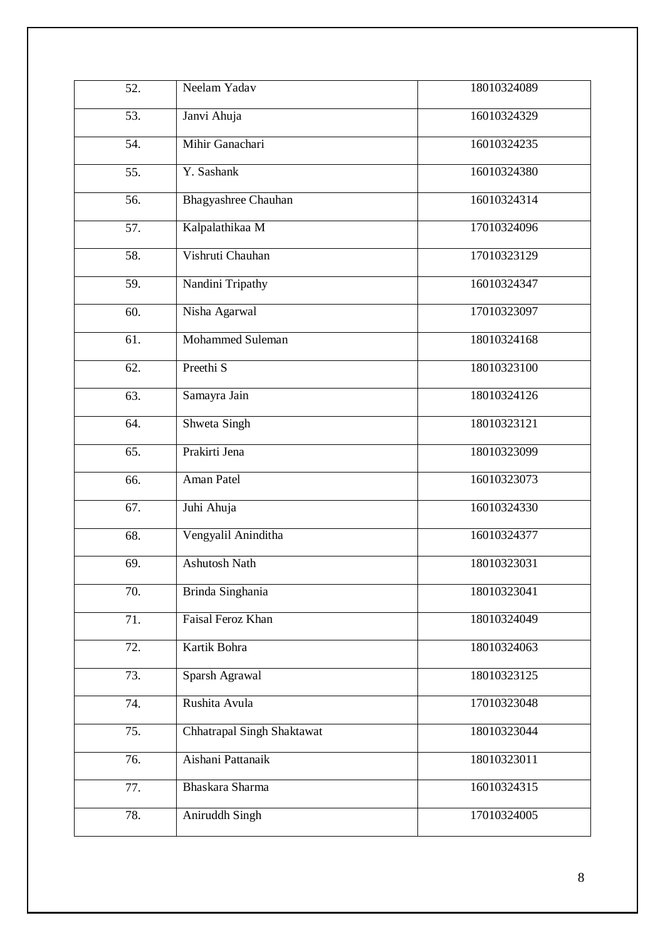| 52. | Neelam Yadav               | 18010324089 |
|-----|----------------------------|-------------|
| 53. | Janvi Ahuja                | 16010324329 |
| 54. | Mihir Ganachari            | 16010324235 |
| 55. | Y. Sashank                 | 16010324380 |
| 56. | <b>Bhagyashree Chauhan</b> | 16010324314 |
| 57. | Kalpalathikaa M            | 17010324096 |
| 58. | Vishruti Chauhan           | 17010323129 |
| 59. | Nandini Tripathy           | 16010324347 |
| 60. | Nisha Agarwal              | 17010323097 |
| 61. | Mohammed Suleman           | 18010324168 |
| 62. | Preethi <sub>S</sub>       | 18010323100 |
| 63. | Samayra Jain               | 18010324126 |
| 64. | Shweta Singh               | 18010323121 |
| 65. | Prakirti Jena              | 18010323099 |
| 66. | Aman Patel                 | 16010323073 |
| 67. | Juhi Ahuja                 | 16010324330 |
| 68. | Vengyalil Aninditha        | 16010324377 |
| 69. | <b>Ashutosh Nath</b>       | 18010323031 |
| 70. | Brinda Singhania           | 18010323041 |
| 71. | Faisal Feroz Khan          | 18010324049 |
| 72. | Kartik Bohra               | 18010324063 |
| 73. | Sparsh Agrawal             | 18010323125 |
| 74. | Rushita Avula              | 17010323048 |
| 75. | Chhatrapal Singh Shaktawat | 18010323044 |
| 76. | Aishani Pattanaik          | 18010323011 |
| 77. | Bhaskara Sharma            | 16010324315 |
| 78. | Aniruddh Singh             | 17010324005 |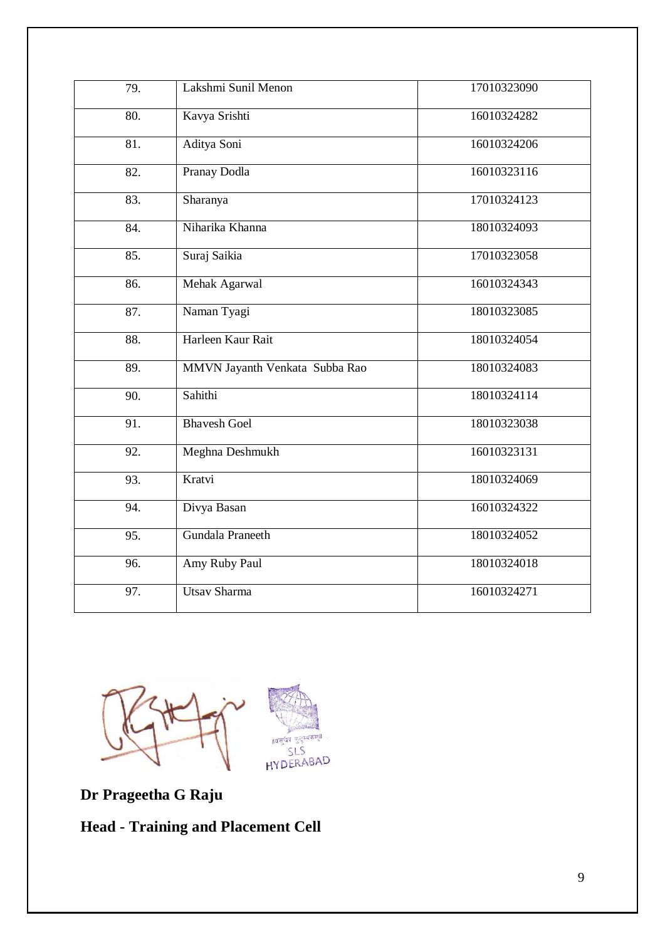| 79.               | Lakshmi Sunil Menon            | 17010323090 |
|-------------------|--------------------------------|-------------|
| 80.               | Kavya Srishti                  | 16010324282 |
| 81.               | Aditya Soni                    | 16010324206 |
| 82.               | Pranay Dodla                   | 16010323116 |
| $\overline{83}$ . | Sharanya                       | 17010324123 |
| 84.               | Niharika Khanna                | 18010324093 |
| 85.               | Suraj Saikia                   | 17010323058 |
| 86.               | Mehak Agarwal                  | 16010324343 |
| 87.               | Naman Tyagi                    | 18010323085 |
| 88.               | Harleen Kaur Rait              | 18010324054 |
| 89.               | MMVN Jayanth Venkata Subba Rao | 18010324083 |
| 90.               | Sahithi                        | 18010324114 |
| 91.               | <b>Bhavesh Goel</b>            | 18010323038 |
| 92.               | Meghna Deshmukh                | 16010323131 |
| 93.               | Kratvi                         | 18010324069 |
| 94.               | Divya Basan                    | 16010324322 |
| 95.               | Gundala Praneeth               | 18010324052 |
| 96.               | Amy Ruby Paul                  | 18010324018 |
| 97.               | <b>Utsav Sharma</b>            | 16010324271 |



**Dr Prageetha G Raju**

**Head - Training and Placement Cell**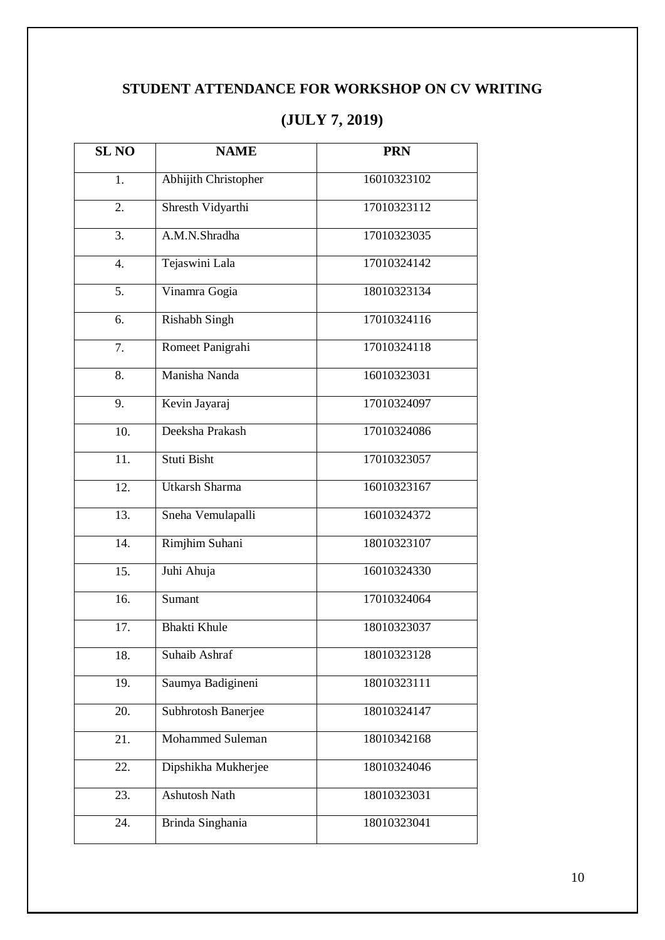# **STUDENT ATTENDANCE FOR WORKSHOP ON CV WRITING**

| <b>SL NO</b>      | <b>NAME</b>             | <b>PRN</b>  |
|-------------------|-------------------------|-------------|
| 1.                | Abhijith Christopher    | 16010323102 |
| $\overline{2}$ .  | Shresth Vidyarthi       | 17010323112 |
| 3.                | A.M.N.Shradha           | 17010323035 |
| $\overline{4}$ .  | Tejaswini Lala          | 17010324142 |
| 5.                | Vinamra Gogia           | 18010323134 |
| 6.                | <b>Rishabh Singh</b>    | 17010324116 |
| 7.                | Romeet Panigrahi        | 17010324118 |
| 8.                | Manisha Nanda           | 16010323031 |
| 9.                | Kevin Jayaraj           | 17010324097 |
| 10.               | Deeksha Prakash         | 17010324086 |
| 11.               | Stuti Bisht             | 17010323057 |
| 12.               | <b>Utkarsh Sharma</b>   | 16010323167 |
| $\overline{13}$ . | Sneha Vemulapalli       | 16010324372 |
| 14.               | Rimjhim Suhani          | 18010323107 |
| 15.               | Juhi Ahuja              | 16010324330 |
| 16.               | Sumant                  | 17010324064 |
| 17.               | <b>Bhakti Khule</b>     | 18010323037 |
| 18.               | Suhaib Ashraf           | 18010323128 |
| 19.               | Saumya Badigineni       | 18010323111 |
| 20.               | Subhrotosh Banerjee     | 18010324147 |
| 21.               | <b>Mohammed Suleman</b> | 18010342168 |
| 22.               | Dipshikha Mukherjee     | 18010324046 |
| 23.               | <b>Ashutosh Nath</b>    | 18010323031 |
| 24.               | Brinda Singhania        | 18010323041 |

# **(JULY 7, 2019)**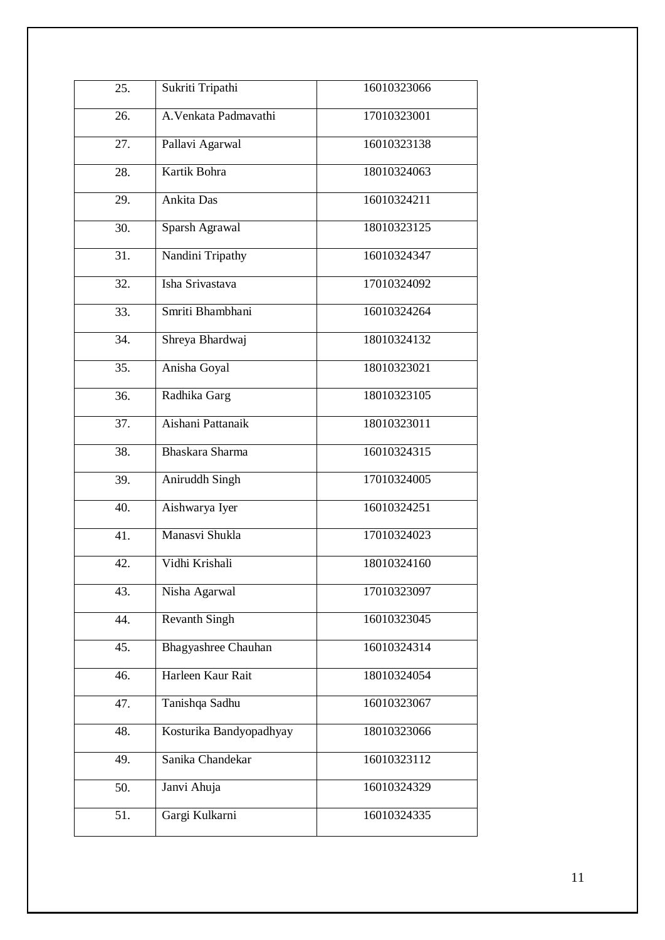| 25. | Sukriti Tripathi           | 16010323066 |
|-----|----------------------------|-------------|
| 26. | A. Venkata Padmavathi      | 17010323001 |
| 27. | Pallavi Agarwal            | 16010323138 |
| 28. | Kartik Bohra               | 18010324063 |
| 29. | Ankita Das                 | 16010324211 |
| 30. | Sparsh Agrawal             | 18010323125 |
| 31. | Nandini Tripathy           | 16010324347 |
| 32. | Isha Srivastava            | 17010324092 |
| 33. | Smriti Bhambhani           | 16010324264 |
| 34. | Shreya Bhardwaj            | 18010324132 |
| 35. | Anisha Goyal               | 18010323021 |
| 36. | Radhika Garg               | 18010323105 |
| 37. | Aishani Pattanaik          | 18010323011 |
| 38. | Bhaskara Sharma            | 16010324315 |
| 39. | Aniruddh Singh             | 17010324005 |
| 40. | Aishwarya Iyer             | 16010324251 |
| 41. | Manasvi Shukla             | 17010324023 |
| 42. | Vidhi Krishali             | 18010324160 |
| 43. | Nisha Agarwal              | 17010323097 |
| 44. | <b>Revanth Singh</b>       | 16010323045 |
| 45. | <b>Bhagyashree Chauhan</b> | 16010324314 |
| 46. | Harleen Kaur Rait          | 18010324054 |
| 47. | Tanishqa Sadhu             | 16010323067 |
| 48. | Kosturika Bandyopadhyay    | 18010323066 |
| 49. | Sanika Chandekar           | 16010323112 |
| 50. | Janvi Ahuja                | 16010324329 |
| 51. | Gargi Kulkarni             | 16010324335 |
|     |                            |             |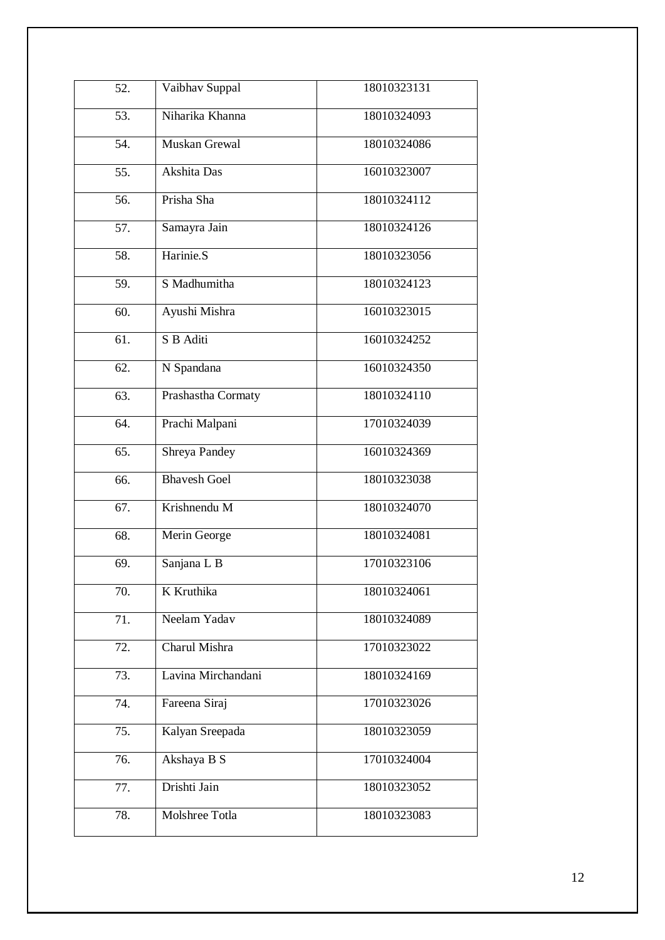| 52. | Vaibhav Suppal      | 18010323131 |
|-----|---------------------|-------------|
| 53. | Niharika Khanna     | 18010324093 |
| 54. | Muskan Grewal       | 18010324086 |
| 55. | Akshita Das         | 16010323007 |
| 56. | Prisha Sha          | 18010324112 |
| 57. | Samayra Jain        | 18010324126 |
| 58. | Harinie.S           | 18010323056 |
| 59. | S Madhumitha        | 18010324123 |
| 60. | Ayushi Mishra       | 16010323015 |
| 61. | S B Aditi           | 16010324252 |
| 62. | N Spandana          | 16010324350 |
| 63. | Prashastha Cormaty  | 18010324110 |
| 64. | Prachi Malpani      | 17010324039 |
| 65. | Shreya Pandey       | 16010324369 |
| 66. | <b>Bhavesh Goel</b> | 18010323038 |
| 67. | Krishnendu M        | 18010324070 |
| 68. | Merin George        | 18010324081 |
| 69. | Sanjana L B         | 17010323106 |
| 70. | K Kruthika          | 18010324061 |
| 71. | Neelam Yadav        | 18010324089 |
| 72. | Charul Mishra       | 17010323022 |
| 73. | Lavina Mirchandani  | 18010324169 |
| 74. | Fareena Siraj       | 17010323026 |
| 75. | Kalyan Sreepada     | 18010323059 |
| 76. | Akshaya B S         | 17010324004 |
| 77. | Drishti Jain        | 18010323052 |
| 78. | Molshree Totla      | 18010323083 |
|     |                     |             |